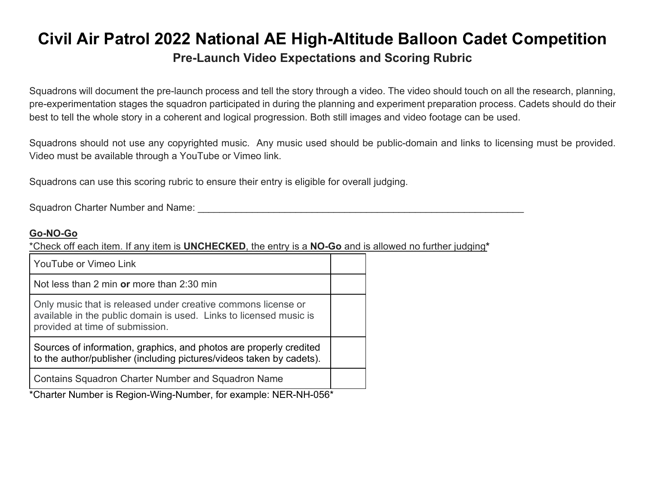## **Civil Air Patrol 2022 National AE High-Altitude Balloon Cadet Competition Pre-Launch Video Expectations and Scoring Rubric**

Squadrons will document the pre-launch process and tell the story through a video. The video should touch on all the research, planning, pre-experimentation stages the squadron participated in during the planning and experiment preparation process. Cadets should do their best to tell the whole story in a coherent and logical progression. Both still images and video footage can be used.

Squadrons should not use any copyrighted music. Any music used should be public-domain and links to licensing must be provided. Video must be available through a YouTube or Vimeo link.

Squadrons can use this scoring rubric to ensure their entry is eligible for overall judging.

Squadron Charter Number and Name: \_\_\_\_\_\_\_\_\_\_\_\_\_\_\_\_\_\_\_\_\_\_\_\_\_\_\_\_\_\_\_\_\_\_\_\_\_\_\_\_\_\_\_\_\_\_\_\_\_\_\_\_\_\_\_\_\_\_\_\_

## **Go-NO-Go**

\*Check off each item. If any item is **UNCHECKED**, the entry is a **NO-Go** and is allowed no further judging**\***

| <b>YouTube or Vimeo Link</b>                                                                                                                                           |  |
|------------------------------------------------------------------------------------------------------------------------------------------------------------------------|--|
| Not less than 2 min or more than 2:30 min                                                                                                                              |  |
| Only music that is released under creative commons license or<br>available in the public domain is used. Links to licensed music is<br>provided at time of submission. |  |
| Sources of information, graphics, and photos are properly credited<br>to the author/publisher (including pictures/videos taken by cadets).                             |  |
| <b>Contains Squadron Charter Number and Squadron Name</b>                                                                                                              |  |

\*Charter Number is Region-Wing-Number, for example: NER-NH-056\*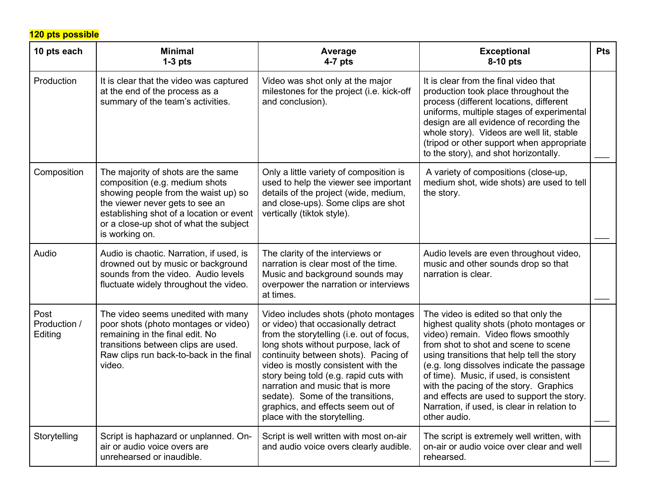**120 pts possible**

| 10 pts each                     | <b>Minimal</b><br>$1-3$ pts                                                                                                                                                                                                                             | Average<br>$4-7$ pts                                                                                                                                                                                                                                                                                                                                                                                                                   | <b>Exceptional</b><br>8-10 pts                                                                                                                                                                                                                                                                                                                                                                                                                               | <b>Pts</b> |
|---------------------------------|---------------------------------------------------------------------------------------------------------------------------------------------------------------------------------------------------------------------------------------------------------|----------------------------------------------------------------------------------------------------------------------------------------------------------------------------------------------------------------------------------------------------------------------------------------------------------------------------------------------------------------------------------------------------------------------------------------|--------------------------------------------------------------------------------------------------------------------------------------------------------------------------------------------------------------------------------------------------------------------------------------------------------------------------------------------------------------------------------------------------------------------------------------------------------------|------------|
| Production                      | It is clear that the video was captured<br>at the end of the process as a<br>summary of the team's activities.                                                                                                                                          | Video was shot only at the major<br>milestones for the project (i.e. kick-off<br>and conclusion).                                                                                                                                                                                                                                                                                                                                      | It is clear from the final video that<br>production took place throughout the<br>process (different locations, different<br>uniforms, multiple stages of experimental<br>design are all evidence of recording the<br>whole story). Videos are well lit, stable<br>(tripod or other support when appropriate<br>to the story), and shot horizontally.                                                                                                         |            |
| Composition                     | The majority of shots are the same<br>composition (e.g. medium shots<br>showing people from the waist up) so<br>the viewer never gets to see an<br>establishing shot of a location or event<br>or a close-up shot of what the subject<br>is working on. | Only a little variety of composition is<br>used to help the viewer see important<br>details of the project (wide, medium,<br>and close-ups). Some clips are shot<br>vertically (tiktok style).                                                                                                                                                                                                                                         | A variety of compositions (close-up,<br>medium shot, wide shots) are used to tell<br>the story.                                                                                                                                                                                                                                                                                                                                                              |            |
| Audio                           | Audio is chaotic. Narration, if used, is<br>drowned out by music or background<br>sounds from the video. Audio levels<br>fluctuate widely throughout the video.                                                                                         | The clarity of the interviews or<br>narration is clear most of the time.<br>Music and background sounds may<br>overpower the narration or interviews<br>at times.                                                                                                                                                                                                                                                                      | Audio levels are even throughout video,<br>music and other sounds drop so that<br>narration is clear.                                                                                                                                                                                                                                                                                                                                                        |            |
| Post<br>Production /<br>Editing | The video seems unedited with many<br>poor shots (photo montages or video)<br>remaining in the final edit. No<br>transitions between clips are used.<br>Raw clips run back-to-back in the final<br>video.                                               | Video includes shots (photo montages<br>or video) that occasionally detract<br>from the storytelling (i.e. out of focus,<br>long shots without purpose, lack of<br>continuity between shots). Pacing of<br>video is mostly consistent with the<br>story being told (e.g. rapid cuts with<br>narration and music that is more<br>sedate). Some of the transitions,<br>graphics, and effects seem out of<br>place with the storytelling. | The video is edited so that only the<br>highest quality shots (photo montages or<br>video) remain. Video flows smoothly<br>from shot to shot and scene to scene<br>using transitions that help tell the story<br>(e.g. long dissolves indicate the passage<br>of time). Music, if used, is consistent<br>with the pacing of the story. Graphics<br>and effects are used to support the story.<br>Narration, if used, is clear in relation to<br>other audio. |            |
| Storytelling                    | Script is haphazard or unplanned. On-<br>air or audio voice overs are<br>unrehearsed or inaudible.                                                                                                                                                      | Script is well written with most on-air<br>and audio voice overs clearly audible.                                                                                                                                                                                                                                                                                                                                                      | The script is extremely well written, with<br>on-air or audio voice over clear and well<br>rehearsed.                                                                                                                                                                                                                                                                                                                                                        |            |